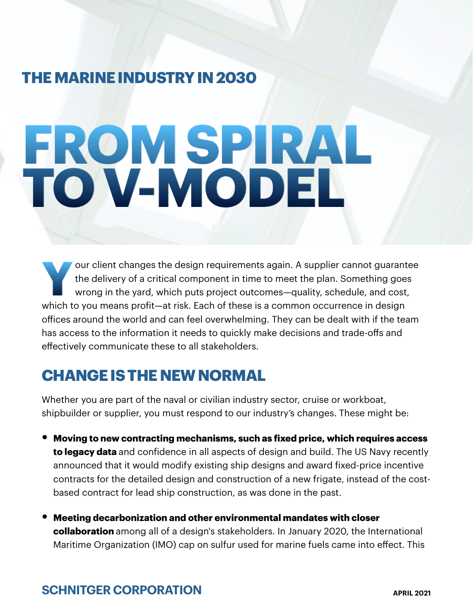## **THE MARINE INDUSTRY IN 2030**

# **FROM SPIRAL TO V-MODEL**

**Y**our client changes the design requirements again. A supplier cannot guarantee the delivery of a critical component in time to meet the plan. Something goes wrong in the yard, which puts project outcomes—quality, schedule, and cost, which to you means profit—at risk. Each of these is a common occurrence in design offices around the world and can feel overwhelming. They can be dealt with if the team has access to the information it needs to quickly make decisions and trade-offs and effectively communicate these to all stakeholders.

## **CHANGE IS THE NEW NORMAL**

Whether you are part of the naval or civilian industry sector, cruise or workboat, shipbuilder or supplier, you must respond to our industry's changes. These might be:

- **Moving to new contracting mechanisms, such as fixed price, which requires access to legacy data** and confidence in all aspects of design and build. The US Navy recently announced that it would modify existing ship designs and award fixed-price incentive contracts for the detailed design and construction of a new frigate, instead of the costbased contract for lead ship construction, as was done in the past.
- **Meeting decarbonization and other environmental mandates with closer collaboration** among all of a design's stakeholders. In January 2020, the International Maritime Organization (IMO) cap on sulfur used for marine fuels came into effect. This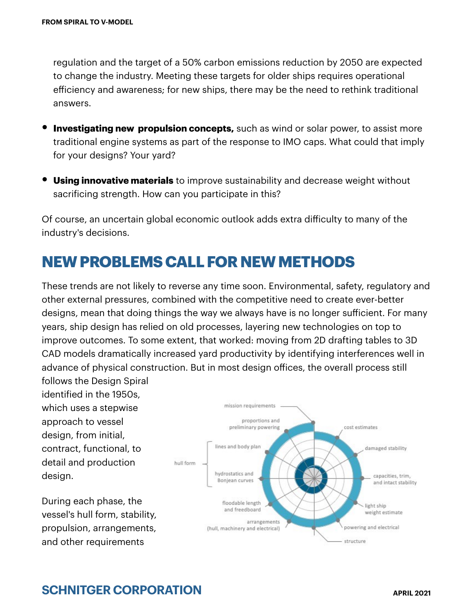regulation and the target of a 50% carbon emissions reduction by 2050 are expected to change the industry. Meeting these targets for older ships requires operational efficiency and awareness; for new ships, there may be the need to rethink traditional answers.

- **Investigating new propulsion concepts,** such as wind or solar power, to assist more traditional engine systems as part of the response to IMO caps. What could that imply for your designs? Your yard?
- **Using innovative materials** to improve sustainability and decrease weight without sacrificing strength. How can you participate in this?

Of course, an uncertain global economic outlook adds extra difficulty to many of the industry's decisions.

## **NEW PROBLEMS CALL FOR NEW METHODS**

These trends are not likely to reverse any time soon. Environmental, safety, regulatory and other external pressures, combined with the competitive need to create ever-better designs, mean that doing things the way we always have is no longer sufficient. For many years, ship design has relied on old processes, layering new technologies on top to improve outcomes. To some extent, that worked: moving from 2D drafting tables to 3D CAD models dramatically increased yard productivity by identifying interferences well in advance of physical construction. But in most design offices, the overall process still

follows the Design Spiral identified in the 1950s, which uses a stepwise approach to vessel design, from initial, contract, functional, to detail and production design.

During each phase, the vessel's hull form, stability, propulsion, arrangements, and other requirements

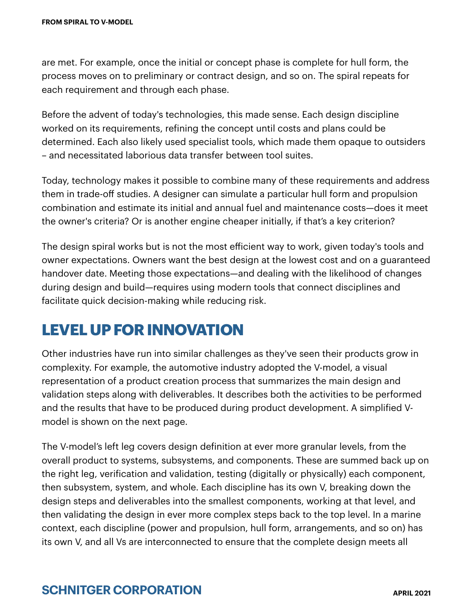are met. For example, once the initial or concept phase is complete for hull form, the process moves on to preliminary or contract design, and so on. The spiral repeats for each requirement and through each phase.

Before the advent of today's technologies, this made sense. Each design discipline worked on its requirements, refining the concept until costs and plans could be determined. Each also likely used specialist tools, which made them opaque to outsiders – and necessitated laborious data transfer between tool suites.

Today, technology makes it possible to combine many of these requirements and address them in trade-off studies. A designer can simulate a particular hull form and propulsion combination and estimate its initial and annual fuel and maintenance costs—does it meet the owner's criteria? Or is another engine cheaper initially, if that's a key criterion?

The design spiral works but is not the most efficient way to work, given today's tools and owner expectations. Owners want the best design at the lowest cost and on a guaranteed handover date. Meeting those expectations—and dealing with the likelihood of changes during design and build—requires using modern tools that connect disciplines and facilitate quick decision-making while reducing risk.

## **LEVEL UP FOR INNOVATION**

Other industries have run into similar challenges as they've seen their products grow in complexity. For example, the automotive industry adopted the V-model, a visual representation of a product creation process that summarizes the main design and validation steps along with deliverables. It describes both the activities to be performed and the results that have to be produced during product development. A simplified Vmodel is shown on the next page.

The V-model's left leg covers design definition at ever more granular levels, from the overall product to systems, subsystems, and components. These are summed back up on the right leg, verification and validation, testing (digitally or physically) each component, then subsystem, system, and whole. Each discipline has its own V, breaking down the design steps and deliverables into the smallest components, working at that level, and then validating the design in ever more complex steps back to the top level. In a marine context, each discipline (power and propulsion, hull form, arrangements, and so on) has its own V, and all Vs are interconnected to ensure that the complete design meets all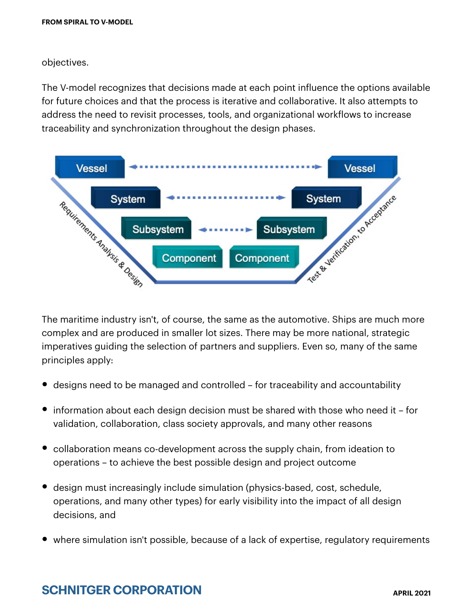objectives.

The V-model recognizes that decisions made at each point influence the options available for future choices and that the process is iterative and collaborative. It also attempts to address the need to revisit processes, tools, and organizational workflows to increase traceability and synchronization throughout the design phases.



The maritime industry isn't, of course, the same as the automotive. Ships are much more complex and are produced in smaller lot sizes. There may be more national, strategic imperatives guiding the selection of partners and suppliers. Even so, many of the same principles apply:

- designs need to be managed and controlled for traceability and accountability
- information about each design decision must be shared with those who need it for validation, collaboration, class society approvals, and many other reasons
- collaboration means co-development across the supply chain, from ideation to operations – to achieve the best possible design and project outcome
- design must increasingly include simulation (physics-based, cost, schedule, operations, and many other types) for early visibility into the impact of all design decisions, and
- where simulation isn't possible, because of a lack of expertise, regulatory requirements